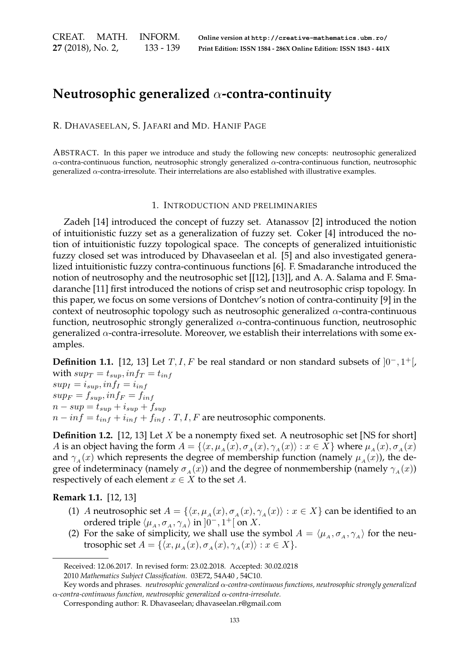CREAT. MATH. INFORM. **27** (2018), No. 2, 133 - 139

# **Neutrosophic generalized** α**-contra-continuity**

R. DHAVASEELAN, S. JAFARI and MD. HANIF PAGE

ABSTRACT. In this paper we introduce and study the following new concepts: neutrosophic generalized α-contra-continuous function, neutrosophic strongly generalized α-contra-continuous function, neutrosophic generalized α-contra-irresolute. Their interrelations are also established with illustrative examples.

#### 1. INTRODUCTION AND PRELIMINARIES

Zadeh [14] introduced the concept of fuzzy set. Atanassov [2] introduced the notion of intuitionistic fuzzy set as a generalization of fuzzy set. Coker [4] introduced the notion of intuitionistic fuzzy topological space. The concepts of generalized intuitionistic fuzzy closed set was introduced by Dhavaseelan et al. [5] and also investigated generalized intuitionistic fuzzy contra-continuous functions [6]. F. Smadaranche introduced the notion of neutrosophy and the neutrosophic set [[12], [13]], and A. A. Salama and F. Smadaranche [11] first introduced the notions of crisp set and neutrosophic crisp topology. In this paper, we focus on some versions of Dontchev's notion of contra-continuity [9] in the context of neutrosophic topology such as neutrosophic generalized  $\alpha$ -contra-continuous function, neutrosophic strongly generalized  $\alpha$ -contra-continuous function, neutrosophic generalized  $\alpha$ -contra-irresolute. Moreover, we establish their interrelations with some examples.

**Definition 1.1.** [12, 13] Let  $T, I, F$  be real standard or non standard subsets of  $]0^-, 1^+$  [ with  $sup_T = t_{sup}$ ,  $inf_T = t_{inf}$  $sup_I = i_{sup}, inf_I = i_{inf}$  $sup_F = f_{sun}$ ,  $inf_F = f_{inf}$ 

 $n - sup = t_{sup} + i_{sup} + f_{sup}$ 

 $n - inf = t_{inf} + i_{inf} + f_{inf}$ . T, I, F are neutrosophic components.

**Definition 1.2.** [12, 13] Let X be a nonempty fixed set. A neutrosophic set [NS for short] A is an object having the form  $A = \{ \langle x, \mu_A(x), \sigma_A(x), \gamma_A(x) \rangle : x \in X \}$  where  $\mu_A(x), \sigma_A(x)$ and  $\gamma_A(x)$  which represents the degree of membership function (namely  $\mu_A(x)$ ), the degree of indeterminacy (namely  $\sigma_A(x)$ ) and the degree of nonmembership (namely  $\gamma_A(x)$ ) respectively of each element  $x \in X$  to the set A.

# **Remark 1.1.** [12, 13]

- (1) A neutrosophic set  $A = \{ \langle x, \mu_A(x), \sigma_A(x), \gamma_A(x) \rangle : x \in X \}$  can be identified to an ordered triple  $\langle \mu_A, \sigma_A, \gamma_A \rangle$  in  $]0^-, 1^+[$  on X.
- (2) For the sake of simplicity, we shall use the symbol  $A = \langle \mu_A, \sigma_A, \gamma_A \rangle$  for the neutrosophic set  $A = \{\overline{\langle x, \mu_A(x), \sigma_A(x), \gamma_A(x) \rangle} : x \in X\}.$

Received: 12.06.2017. In revised form: 23.02.2018. Accepted: 30.02.0218

<sup>2010</sup> *Mathematics Subject Classification.* 03E72, 54A40 , 54C10.

Key words and phrases. *neutrosophic generalized* α*-contra-continuous functions, neutrosophic strongly generalized* α*-contra-continuous function, neutrosophic generalized* α*-contra-irresolute.*

Corresponding author: R. Dhavaseelan; dhavaseelan.r@gmail.com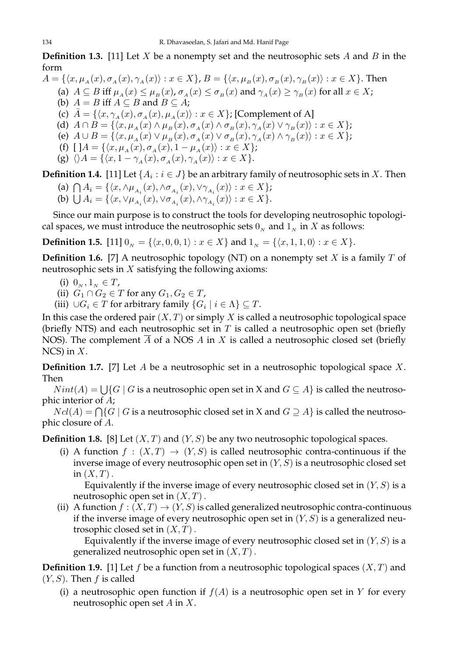**Definition 1.3.** [11] Let X be a nonempty set and the neutrosophic sets A and B in the form

 $A = \{\langle x, \mu_A(x), \sigma_A(x), \gamma_A(x)\rangle : x \in X\}, B = \{\langle x, \mu_B(x), \sigma_B(x), \gamma_B(x)\rangle : x \in X\}.$  Then

- (a)  $A \subseteq B$  iff  $\mu_A(x) \leq \mu_B(x)$ ,  $\sigma_A(x) \leq \sigma_B(x)$  and  $\gamma_A(x) \geq \gamma_B(x)$  for all  $x \in X$ ;
- (b)  $A = B$  iff  $A \subseteq B$  and  $B \subseteq A$ ;

(c)  $\bar{A} = \{ \langle x, \gamma_A(x), \sigma_A(x), \mu_A(x) \rangle : x \in X \}$ ; [Complement of A]

- (d)  $A \cap B = \{ \langle x, \mu_A(x) \land \mu_B(x), \sigma_A(x) \land \sigma_B(x), \gamma_A(x) \lor \gamma_B(x) \rangle : x \in X \};$
- (e)  $A \cup B = \{ \langle x, \mu_A(x) \vee \mu_B(x), \sigma_A(x) \vee \sigma_B(x), \gamma_A(x) \wedge \gamma_B(x) \rangle : x \in X \};$
- (f)  $[A = {\langle x, \mu_A (x), \sigma_A (x), 1 \mu_A (x) \rangle : x \in X}$ ;
- (g)  $\langle A = {\langle x, 1 \gamma_4(x), \sigma_4(x), \gamma_4(x) \rangle : x \in X}$ .

**Definition 1.4.** [11] Let  $\{A_i : i \in J\}$  be an arbitrary family of neutrosophic sets in X. Then

(a)  $\bigcap A_i = \{ \langle x, \wedge \mu_{A_i}(x), \wedge \sigma_{A_i}(x), \vee \gamma_{A_i}(x) \rangle : x \in X \};$ (b)  $\bigcup A_i = \{ \langle x, \vee \mu_{A_i}(x), \vee \sigma_{A_i}(x), \wedge \gamma_{A_i}(x) \rangle : x \in X \}.$ 

Since our main purpose is to construct the tools for developing neutrosophic topological spaces, we must introduce the neutrosophic sets  $0<sub>N</sub>$  and  $1<sub>N</sub>$  in X as follows:

**Definition 1.5.** [11]  $0_N = \{ \langle x, 0, 0, 1 \rangle : x \in X \}$  and  $1_N = \{ \langle x, 1, 1, 0 \rangle : x \in X \}.$ 

**Definition 1.6.** [7] A neutrosophic topology (NT) on a nonempty set  $X$  is a family  $T$  of neutrosophic sets in  $X$  satisfying the following axioms:

- (i)  $0_N, 1_N \in T$ ,
- (ii)  $G_1 \cap G_2 \in T$  for any  $G_1, G_2 \in T$ ,
- (iii)  $\cup G_i \in T$  for arbitrary family  $\{G_i \mid i \in \Lambda\} \subseteq T$ .

In this case the ordered pair  $(X, T)$  or simply X is called a neutrosophic topological space (briefly NTS) and each neutrosophic set in  $T$  is called a neutrosophic open set (briefly NOS). The complement  $\overline{A}$  of a NOS A in X is called a neutrosophic closed set (briefly NCS) in  $X$ .

**Definition 1.7.** [7] Let A be a neutrosophic set in a neutrosophic topological space X. Then

 $Nint(A) = \bigcup \{ G | G$  is a neutrosophic open set in X and  $G \subseteq A \}$  is called the neutrosophic interior of A;

 $Ncl(A) = \bigcap \{G \mid G \text{ is a neutrosophic closed set in } X \text{ and } G \supseteq A \}$  is called the neutrosophic closure of A.

**Definition 1.8.** [8] Let  $(X, T)$  and  $(Y, S)$  be any two neutrosophic topological spaces.

(i) A function  $f : (X,T) \to (Y,S)$  is called neutrosophic contra-continuous if the inverse image of every neutrosophic open set in  $(Y, S)$  is a neutrosophic closed set in  $(X, T)$ .

Equivalently if the inverse image of every neutrosophic closed set in  $(Y, S)$  is a neutrosophic open set in  $(X, T)$ .

(ii) A function  $f : (X,T) \to (Y,S)$  is called generalized neutrosophic contra-continuous if the inverse image of every neutrosophic open set in  $(Y, S)$  is a generalized neutrosophic closed set in  $(X, T)$ .

Equivalently if the inverse image of every neutrosophic closed set in  $(Y, S)$  is a generalized neutrosophic open set in  $(X, T)$ .

**Definition 1.9.** [1] Let f be a function from a neutrosophic topological spaces  $(X, T)$  and  $(Y, S)$ . Then f is called

(i) a neutrosophic open function if  $f(A)$  is a neutrosophic open set in Y for every neutrosophic open set  $A$  in  $X$ .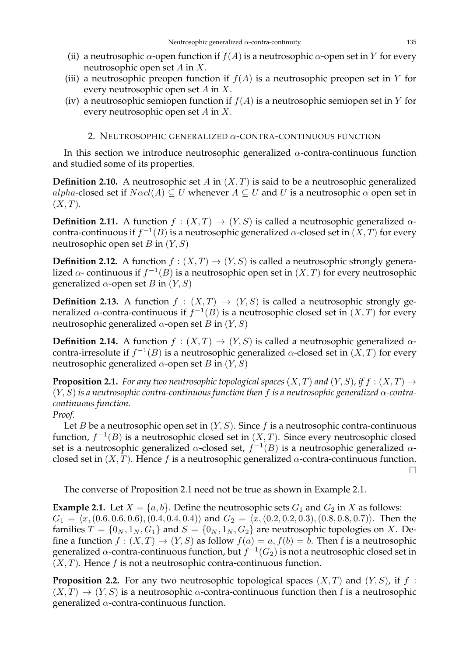- (ii) a neutrosophic  $\alpha$ -open function if  $f(A)$  is a neutrosophic  $\alpha$ -open set in Y for every neutrosophic open set A in X.
- (iii) a neutrosophic preopen function if  $f(A)$  is a neutrosophic preopen set in Y for every neutrosophic open set A in X.
- (iv) a neutrosophic semiopen function if  $f(A)$  is a neutrosophic semiopen set in Y for every neutrosophic open set A in X.

## 2. NEUTROSOPHIC GENERALIZED α-CONTRA-CONTINUOUS FUNCTION

In this section we introduce neutrosophic generalized  $\alpha$ -contra-continuous function and studied some of its properties.

**Definition 2.10.** A neutrosophic set A in  $(X, T)$  is said to be a neutrosophic generalized alpha-closed set if  $N\alpha c l(A) \subseteq U$  whenever  $A \subseteq U$  and U is a neutrosophic  $\alpha$  open set in  $(X, T)$ .

**Definition 2.11.** A function  $f : (X,T) \to (Y,S)$  is called a neutrosophic generalized  $\alpha$ contra-continuous if  $f^{-1}(B)$  is a neutrosophic generalized  $\alpha$ -closed set in  $(X,T)$  for every neutrosophic open set B in  $(Y, S)$ 

**Definition 2.12.** A function  $f : (X,T) \to (Y,S)$  is called a neutrosophic strongly generalized  $\alpha$ - continuous if  $f^{-1}(B)$  is a neutrosophic open set in  $(X,T)$  for every neutrosophic generalized  $\alpha$ -open set B in  $(Y, S)$ 

**Definition 2.13.** A function  $f : (X,T) \rightarrow (Y,S)$  is called a neutrosophic strongly generalized  $\alpha$ -contra-continuous if  $f^{-1}(B)$  is a neutrosophic closed set in  $(X,T)$  for every neutrosophic generalized  $\alpha$ -open set B in  $(Y, S)$ 

**Definition 2.14.** A function  $f : (X,T) \to (Y,S)$  is called a neutrosophic generalized  $\alpha$ contra-irresolute if  $f^{-1}(B)$  is a neutrosophic generalized α-closed set in  $(X,T)$  for every neutrosophic generalized  $\alpha$ -open set B in  $(Y, S)$ 

**Proposition 2.1.** *For any two neutrosophic topological spaces*  $(X, T)$  *and*  $(Y, S)$ *, if*  $f : (X, T) \rightarrow$  $(Y, S)$  *is a neutrosophic contra-continuous function then* f *is a neutrosophic generalized*  $\alpha$ -contra*continuous function.*

### *Proof.*

Let B be a neutrosophic open set in  $(Y, S)$ . Since f is a neutrosophic contra-continuous function,  $f^{-1}(B)$  is a neutrosophic closed set in  $(X, T)$ . Since every neutrosophic closed set is a neutrosophic generalized  $\alpha$ -closed set,  $f^{-1}(B)$  is a neutrosophic generalized  $\alpha$ closed set in  $(X, T)$ . Hence f is a neutrosophic generalized  $\alpha$ -contra-continuous function.  $\Box$ 

The converse of Proposition 2.1 need not be true as shown in Example 2.1.

**Example 2.1.** Let  $X = \{a, b\}$ . Define the neutrosophic sets  $G_1$  and  $G_2$  in X as follows:  $G_1 = \langle x,(0.6, 0.6, 0.6), (0.4, 0.4, 0.4)\rangle$  and  $G_2 = \langle x,(0.2, 0.2, 0.3), (0.8, 0.8, 0.7)\rangle$ . Then the families  $T = \{0_N, 1_N, G_1\}$  and  $S = \{0_N, 1_N, G_2\}$  are neutrosophic topologies on X. Define a function  $f : (X,T) \to (Y,S)$  as follow  $f(a) = a, f(b) = b$ . Then f is a neutrosophic generalized  $\alpha$ -contra-continuous function, but  $f^{-1}(G_2)$  is not a neutrosophic closed set in  $(X, T)$ . Hence f is not a neutrosophic contra-continuous function.

**Proposition 2.2.** For any two neutrosophic topological spaces  $(X, T)$  and  $(Y, S)$ , if f:  $(X, T) \rightarrow (Y, S)$  is a neutrosophic  $\alpha$ -contra-continuous function then f is a neutrosophic generalized  $\alpha$ -contra-continuous function.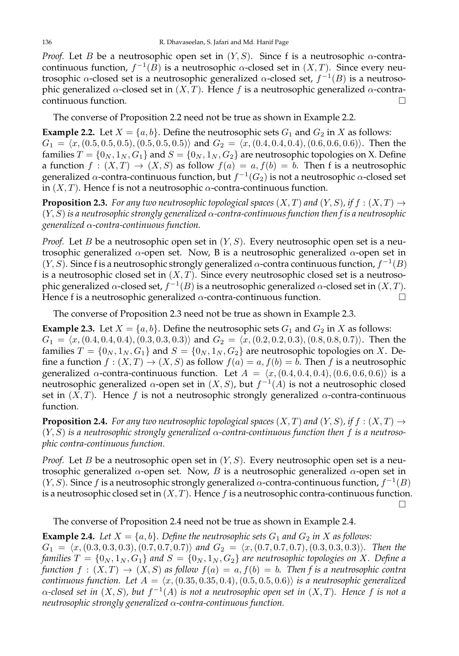*Proof.* Let B be a neutrosophic open set in  $(Y, S)$ . Since f is a neutrosophic  $\alpha$ -contracontinuous function,  $f^{-1}(B)$  is a neutrosophic  $\alpha$ -closed set in  $(X, T)$ . Since every neutrosophic α-closed set is a neutrosophic generalized α-closed set,  $f^{-1}(B)$  is a neutrosophic generalized  $\alpha$ -closed set in  $(X, T)$ . Hence f is a neutrosophic generalized  $\alpha$ -contracontinuous function.

The converse of Proposition 2.2 need not be true as shown in Example 2.2.

**Example 2.2.** Let  $X = \{a, b\}$ . Define the neutrosophic sets  $G_1$  and  $G_2$  in X as follows:  $G_1 = \langle x,(0.5, 0.5, 0.5), (0.5, 0.5, 0.5)\rangle$  and  $G_2 = \langle x,(0.4, 0.4, 0.4), (0.6, 0.6, 0.6)\rangle$ . Then the families  $T = \{0_N, 1_N, G_1\}$  and  $S = \{0_N, 1_N, G_2\}$  are neutrosophic topologies on X. Define a function  $f : (X,T) \to (X,S)$  as follow  $f(a) = a, f(b) = b$ . Then f is a neutrosophic generalized  $\alpha$ -contra-continuous function, but  $f^{-1}(G_2)$  is not a neutrosophic  $\alpha$ -closed set in  $(X, T)$ . Hence f is not a neutrosophic  $\alpha$ -contra-continuous function.

**Proposition 2.3.** For any two neutrosophic topological spaces  $(X, T)$  and  $(Y, S)$ , if  $f : (X, T) \rightarrow$ (Y, S) *is a neutrosophic strongly generalized* α*-contra-continuous function then f is a neutrosophic generalized* α*-contra-continuous function.*

*Proof.* Let B be a neutrosophic open set in  $(Y, S)$ . Every neutrosophic open set is a neutrosophic generalized  $\alpha$ -open set. Now, B is a neutrosophic generalized  $\alpha$ -open set in  $(Y, S)$ . Since f is a neutrosophic strongly generalized  $\alpha$ -contra continuous function,  $f^{-1}(B)$ is a neutrosophic closed set in  $(X, T)$ . Since every neutrosophic closed set is a neutrosophic generalized α-closed set,  $f^{-1}(B)$  is a neutrosophic generalized α-closed set in  $(X, T)$ . Hence f is a neutrosophic generalized  $\alpha$ -contra-continuous function.

The converse of Proposition 2.3 need not be true as shown in Example 2.3.

**Example 2.3.** Let  $X = \{a, b\}$ . Define the neutrosophic sets  $G_1$  and  $G_2$  in X as follows:  $G_1 = \langle x,(0.4, 0.4, 0.4), (0.3, 0.3, 0.3)\rangle$  and  $G_2 = \langle x,(0.2, 0.2, 0.3), (0.8, 0.8, 0.7)\rangle$ . Then the families  $T = \{0_N, 1_N, G_1\}$  and  $S = \{0_N, 1_N, G_2\}$  are neutrosophic topologies on X. Define a function  $f : (X,T) \to (X, S)$  as follow  $f(a) = a, f(b) = b$ . Then f is a neutrosophic generalized  $\alpha$ -contra-continuous function. Let  $A = \langle x,(0.4, 0.4, 0.4), (0.6, 0.6, 0.6)\rangle$  is a neutrosophic generalized  $\alpha$ -open set in  $(X, S)$ , but  $f^{-1}(A)$  is not a neutrosophic closed set in  $(X, T)$ . Hence f is not a neutrosophic strongly generalized  $\alpha$ -contra-continuous function.

**Proposition 2.4.** *For any two neutrosophic topological spaces*  $(X, T)$  *and*  $(Y, S)$ *, if*  $f : (X, T) \rightarrow$ (Y, S) *is a neutrosophic strongly generalized* α*-contra-continuous function then* f *is a neutrosophic contra-continuous function.*

*Proof.* Let B be a neutrosophic open set in  $(Y, S)$ . Every neutrosophic open set is a neutrosophic generalized  $\alpha$ -open set. Now, B is a neutrosophic generalized  $\alpha$ -open set in  $(Y, S)$ . Since f is a neutrosophic strongly generalized  $\alpha$ -contra-continuous function,  $f^{-1}(B)$ is a neutrosophic closed set in  $(X, T)$ . Hence f is a neutrosophic contra-continuous function.

 $\Box$ 

The converse of Proposition 2.4 need not be true as shown in Example 2.4.

**Example 2.4.** *Let*  $X = \{a, b\}$ *. Define the neutrosophic sets*  $G_1$  *and*  $G_2$  *in*  $X$  *as follows:*  $G_1 = \langle x,(0.3, 0.3, 0.3), (0.7, 0.7, 0.7)\rangle$  and  $G_2 = \langle x,(0.7, 0.7, 0.7), (0.3, 0.3, 0.3)\rangle$ *. Then the families*  $T = \{0_N, 1_N, G_1\}$  *and*  $S = \{0_N, 1_N, G_2\}$  *are neutrosophic topologies on* X. Define a *function*  $f : (X,T) \to (X,S)$  *as follow*  $f(a) = a, f(b) = b$ *. Then f is a neutrosophic contra continuous function. Let*  $A = \langle x, (0.35, 0.35, 0.4), (0.5, 0.5, 0.6) \rangle$  *is a neutrosophic generalized* α*-closed set in* (X, S)*, but* f −1 (A) *is not a neutrosophic open set in* (X, T)*. Hence* f *is not a neutrosophic strongly generalized* α*-contra-continuous function.*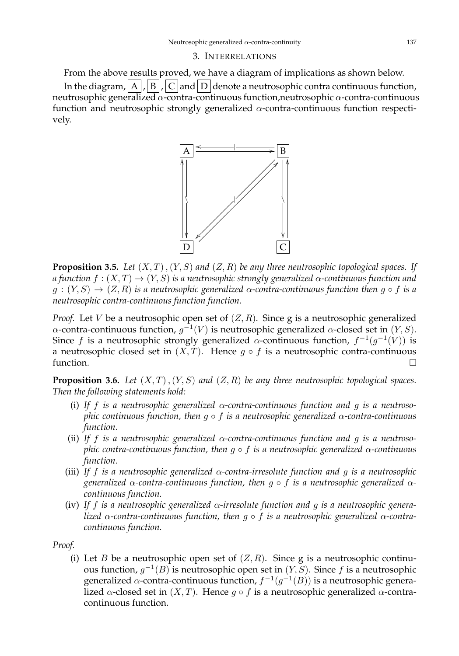#### 3. INTERRELATIONS

From the above results proved, we have a diagram of implications as shown below. In the diagram,  $\overline{A}$ ,  $\overline{B}$ ,  $\overline{C}$  and  $\overline{D}$  denote a neutrosophic contra continuous function, neutrosophic generalized α-contra-continuous function,neutrosophic α-contra-continuous function and neutrosophic strongly generalized  $\alpha$ -contra-continuous function respectively.



**Proposition 3.5.** *Let*  $(X, T)$ ,  $(Y, S)$  *and*  $(Z, R)$  *be any three neutrosophic topological spaces. If a function*  $f : (X,T) \to (Y,S)$  *is a neutrosophic strongly generalized*  $\alpha$ -continuous function and  $g:(Y, S) \to (Z, R)$  *is a neutrosophic generalized*  $\alpha$ -contra-continuous function then  $g \circ f$  *is a neutrosophic contra-continuous function function.*

*Proof.* Let V be a neutrosophic open set of  $(Z, R)$ . Since g is a neutrosophic generalized α-contra-continuous function,  $g^{-1}(V)$  is neutrosophic generalized α-closed set in  $(Y, S)$ . Since f is a neutrosophic strongly generalized  $\alpha$ -continuous function,  $f^{-1}(g^{-1}(V))$  is a neutrosophic closed set in  $(X, T)$ . Hence  $g \circ f$  is a neutrosophic contra-continuous function.  $\square$ 

**Proposition 3.6.** *Let*  $(X, T)$ ,  $(Y, S)$  *and*  $(Z, R)$  *be any three neutrosophic topological spaces. Then the following statements hold:*

- (i) *If* f *is a neutrosophic generalized* α*-contra-continuous function and* g *is a neutrosophic continuous function, then* g ◦ f *is a neutrosophic generalized* α*-contra-continuous function.*
- (ii) *If* f *is a neutrosophic generalized* α*-contra-continuous function and* g *is a neutrosophic contra-continuous function, then* g ◦ f *is a neutrosophic generalized* α*-continuous function.*
- (iii) *If* f *is a neutrosophic generalized* α*-contra-irresolute function and* g *is a neutrosophic generalized* α*-contra-continuous function, then* g ◦ f *is a neutrosophic generalized* α*continuous function.*
- (iv) *If* f *is a neutrosophic generalized* α*-irresolute function and* g *is a neutrosophic generalized* α*-contra-continuous function, then* g ◦ f *is a neutrosophic generalized* α*-contracontinuous function.*

*Proof.*

(i) Let B be a neutrosophic open set of  $(Z, R)$ . Since g is a neutrosophic continuous function,  $g^{-1}(B)$  is neutrosophic open set in  $(Y, S)$ . Since f is a neutrosophic generalized  $\alpha$ -contra-continuous function,  $f^{-1}(g^{-1}(B))$  is a neutrosophic generalized  $\alpha$ -closed set in  $(X, T)$ . Hence  $g \circ f$  is a neutrosophic generalized  $\alpha$ -contracontinuous function.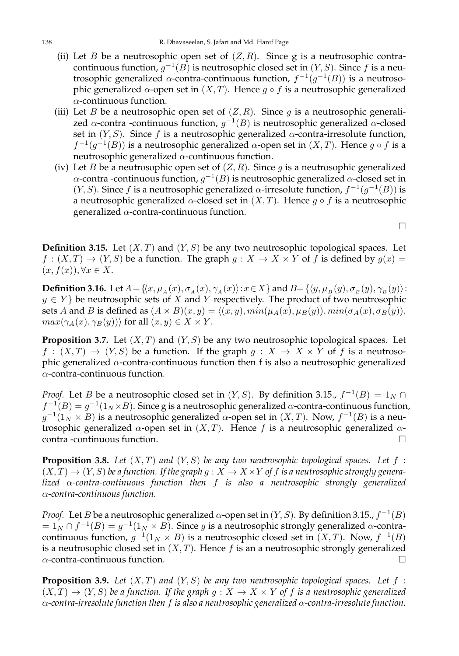- (ii) Let B be a neutrosophic open set of  $(Z, R)$ . Since g is a neutrosophic contracontinuous function,  $g^{-1}(B)$  is neutrosophic closed set in  $(Y, S)$ . Since  $f$  is a neutrosophic generalized  $\alpha$ -contra-continuous function,  $f^{-1}(g^{-1}(B))$  is a neutrosophic generalized  $\alpha$ -open set in  $(X, T)$ . Hence  $q \circ f$  is a neutrosophic generalized  $\alpha$ -continuous function.
- (iii) Let B be a neutrosophic open set of  $(Z, R)$ . Since g is a neutrosophic generalized  $\alpha$ -contra -continuous function,  $g^{-1}(B)$  is neutrosophic generalized  $\alpha$ -closed set in  $(Y, S)$ . Since f is a neutrosophic generalized  $\alpha$ -contra-irresolute function,  $f^{-1}(g^{-1}(B))$  is a neutrosophic generalized  $\alpha$ -open set in  $(X,T)$ . Hence  $g \circ f$  is a neutrosophic generalized  $\alpha$ -continuous function.
- (iv) Let B be a neutrosophic open set of  $(Z, R)$ . Since g is a neutrosophic generalized  $\alpha$ -contra -continuous function,  $g^{-1}(B)$  is neutrosophic generalized  $\alpha$ -closed set in  $(Y, S)$ . Since f is a neutrosophic generalized  $\alpha$ -irresolute function,  $f^{-1}(g^{-1}(B))$  is a neutrosophic generalized  $\alpha$ -closed set in  $(X, T)$ . Hence  $g \circ f$  is a neutrosophic generalized  $\alpha$ -contra-continuous function.

**Definition 3.15.** Let  $(X, T)$  and  $(Y, S)$  be any two neutrosophic topological spaces. Let  $f: (X,T) \to (Y,S)$  be a function. The graph  $g: X \to X \times Y$  of f is defined by  $g(x) =$  $(x, f(x)), \forall x \in X.$ 

**Definition 3.16.** Let  $A = \{(x, \mu_A(x), \sigma_A(x), \gamma_A(x)): x \in X\}$  and  $B = \{\langle y, \mu_B(y), \sigma_B(y), \gamma_B(y)\rangle\}$ :  $y \in Y$ } be neutrosophic sets of X and Y respectively. The product of two neutrosophic sets A and B is defined as  $(A \times B)(x, y) = \langle (x, y), min(\mu_A(x), \mu_B(y)), min(\sigma_A(x), \sigma_B(y)),$  $max(\gamma_A(x), \gamma_B(y))$  for all  $(x, y) \in X \times Y$ .

**Proposition 3.7.** Let  $(X, T)$  and  $(Y, S)$  be any two neutrosophic topological spaces. Let  $f : (X,T) \to (Y,S)$  be a function. If the graph  $g : X \to X \times Y$  of f is a neutrosophic generalized  $\alpha$ -contra-continuous function then f is also a neutrosophic generalized  $\alpha$ -contra-continuous function.

*Proof.* Let *B* be a neutrosophic closed set in  $(Y, S)$ . By definition 3.15.,  $f^{-1}(B) = 1_N \cap$  $f^{-1}(B) = g^{-1}(1_N \times B)$ . Since g is a neutrosophic generalized  $\alpha$ -contra-continuous function,  $g^{-1}(1_N \times B)$  is a neutrosophic generalized α-open set in  $(X, T)$ . Now,  $f^{-1}(B)$  is a neutrosophic generalized  $\alpha$ -open set in  $(X, T)$ . Hence f is a neutrosophic generalized  $\alpha$ contra -continuous function.

**Proposition 3.8.** Let  $(X, T)$  and  $(Y, S)$  be any two neutrosophic topological spaces. Let  $f$ :  $(X, T) \to (Y, S)$  *be a function. If the graph*  $g : X \to X \times Y$  *of f is a neutrosophic strongly generalized* α*-contra-continuous function then* f *is also a neutrosophic strongly generalized* α*-contra-continuous function.*

*Proof.* Let *B* be a neutrosophic generalized  $\alpha$ -open set in  $(Y, S)$ . By definition 3.15.,  $f^{-1}(B)$  $= 1_N \cap f^{-1}(B) = g^{-1}(1_N \times B)$ . Since *g* is a neutrosophic strongly generalized α-contracontinuous function,  $g^{-1}(1_N \times B)$  is a neutrosophic closed set in  $(X, T)$ . Now,  $f^{-1}(B)$ is a neutrosophic closed set in  $(X, T)$ . Hence f is an a neutrosophic strongly generalized  $\alpha$ -contra-continuous function.

**Proposition 3.9.** Let  $(X, T)$  and  $(Y, S)$  be any two neutrosophic topological spaces. Let  $f$ :  $(X, T) \to (Y, S)$  *be a function. If the graph g* :  $X \to X \times Y$  *of f is a neutrosophic generalized* α*-contra-irresolute function then* f *is also a neutrosophic generalized* α*-contra-irresolute function.*

 $\Box$